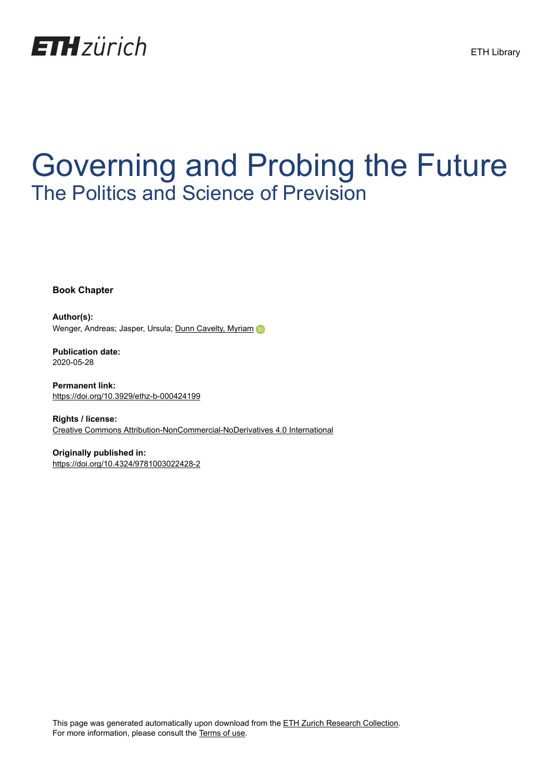

# Governing and Probing the Future The Politics and Science of Prevision

**Book Chapter**

**Author(s):** Wenger, Andreas; Jasper, Ursula; [Dunn Cavelty, Myriam](https://orcid.org/0000-0002-3775-1284) D

**Publication date:** 2020-05-28

**Permanent link:** <https://doi.org/10.3929/ethz-b-000424199>

**Rights / license:** [Creative Commons Attribution-NonCommercial-NoDerivatives 4.0 International](http://creativecommons.org/licenses/by-nc-nd/4.0/)

**Originally published in:** <https://doi.org/10.4324/9781003022428-2>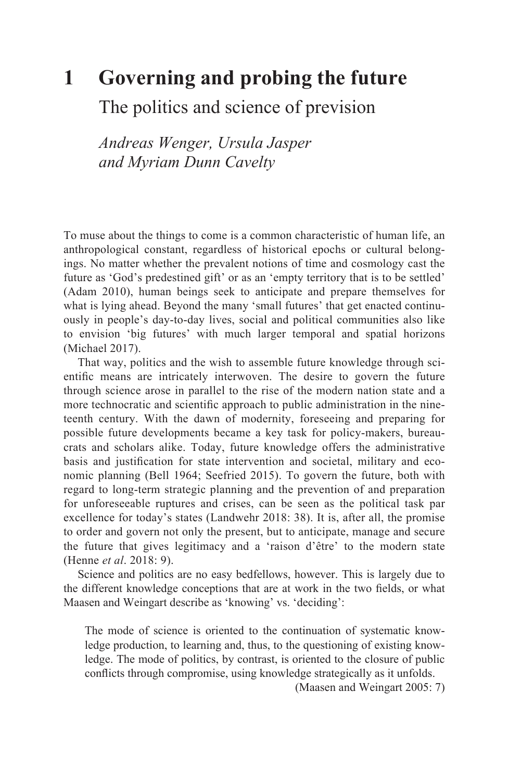# **[1 Governing and probing the future](#page--1-0)**

The politics and science of prevision

*Andreas Wenger, Ursula Jasper and Myriam Dunn Cavelty*

To muse about the things to come is a common characteristic of human life, an anthropological constant, regardless of historical epochs or cultural belongings. No matter whether the prevalent notions of time and cosmology cast the future as 'God's predestined gift' or as an 'empty territory that is to be settled' (Adam 2010), human beings seek to anticipate and prepare themselves for what is lying ahead. Beyond the many 'small futures' that get enacted continuously in people's day-to-day lives, social and political communities also like to envision 'big futures' with much larger temporal and spatial horizons (Michael 2017).

That way, politics and the wish to assemble future knowledge through scientific means are intricately interwoven. The desire to govern the future through science arose in parallel to the rise of the modern nation state and a more technocratic and scientific approach to public administration in the nineteenth century. With the dawn of modernity, foreseeing and preparing for possible future developments became a key task for policy-makers, bureaucrats and scholars alike. Today, future knowledge offers the administrative basis and justification for state intervention and societal, military and economic planning (Bell 1964; Seefried 2015). To govern the future, both with regard to long-term strategic planning and the prevention of and preparation for unforeseeable ruptures and crises, can be seen as the political task par excellence for today's states (Landwehr 2018: 38). It is, after all, the promise to order and govern not only the present, but to anticipate, manage and secure the future that gives legitimacy and a 'raison d'être' to the modern state (Henne *et al*. 2018: 9).

Science and politics are no easy bedfellows, however. This is largely due to the different knowledge conceptions that are at work in the two fields, or what Maasen and Weingart describe as 'knowing' vs. 'deciding':

The mode of science is oriented to the continuation of systematic knowledge production, to learning and, thus, to the questioning of existing knowledge. The mode of politics, by contrast, is oriented to the closure of public conflicts through compromise, using knowledge strategically as it unfolds.

(Maasen and Weingart 2005: 7)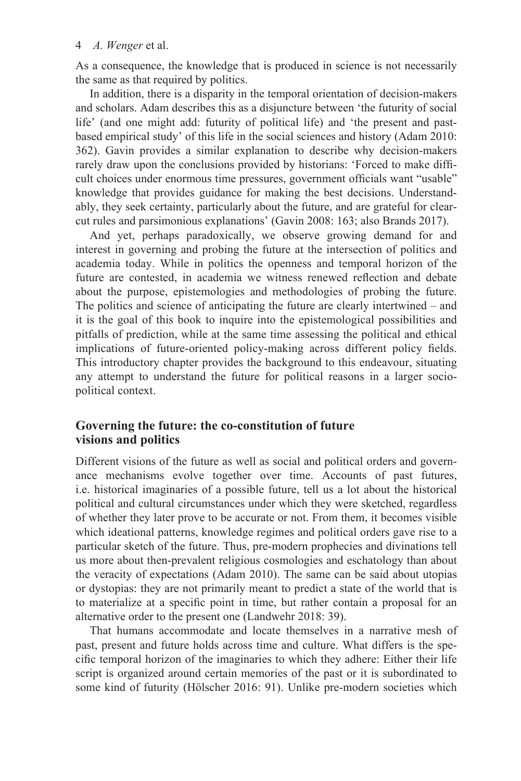As a consequence, the knowledge that is produced in science is not necessarily the same as that required by politics.

In addition, there is a disparity in the temporal orientation of decision-makers and scholars. Adam describes this as a disjuncture between 'the futurity of social life' (and one might add: futurity of political life) and 'the present and pastbased empirical study' of this life in the social sciences and history (Adam 2010: 362). Gavin provides a similar explanation to describe why decision-makers rarely draw upon the conclusions provided by historians: 'Forced to make difficult choices under enormous time pressures, government officials want "usable" knowledge that provides guidance for making the best decisions. Understandably, they seek certainty, particularly about the future, and are grateful for clearcut rules and parsimonious explanations' (Gavin 2008: 163; also Brands 2017).

And yet, perhaps paradoxically, we observe growing demand for and interest in governing and probing the future at the intersection of politics and academia today. While in politics the openness and temporal horizon of the future are contested, in academia we witness renewed reflection and debate about the purpose, epistemologies and methodologies of probing the future. The politics and science of anticipating the future are clearly intertwined – and it is the goal of this book to inquire into the epistemological possibilities and pitfalls of prediction, while at the same time assessing the political and ethical implications of future-oriented policy-making across different policy fields. This introductory chapter provides the background to this endeavour, situating any attempt to understand the future for political reasons in a larger sociopolitical context.

## **Governing the future: the co-constitution of future visions and politics**

Different visions of the future as well as social and political orders and governance mechanisms evolve together over time. Accounts of past futures, i.e. historical imaginaries of a possible future, tell us a lot about the historical political and cultural circumstances under which they were sketched, regardless of whether they later prove to be accurate or not. From them, it becomes visible which ideational patterns, knowledge regimes and political orders gave rise to a particular sketch of the future. Thus, pre-modern prophecies and divinations tell us more about then-prevalent religious cosmologies and eschatology than about the veracity of expectations (Adam 2010). The same can be said about utopias or dystopias: they are not primarily meant to predict a state of the world that is to materialize at a specific point in time, but rather contain a proposal for an alternative order to the present one (Landwehr 2018: 39).

That humans accommodate and locate themselves in a narrative mesh of past, present and future holds across time and culture. What differs is the specific temporal horizon of the imaginaries to which they adhere: Either their life script is organized around certain memories of the past or it is subordinated to some kind of futurity (Hölscher 2016: 91). Unlike pre-modern societies which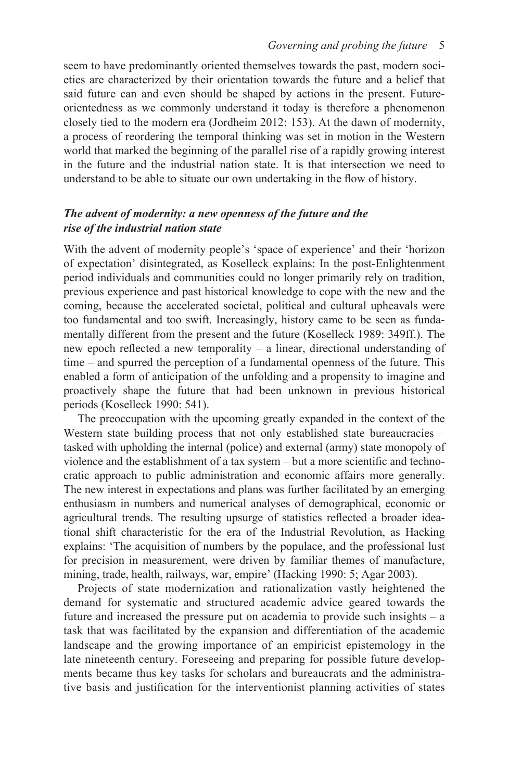seem to have predominantly oriented themselves towards the past, modern societies are characterized by their orientation towards the future and a belief that said future can and even should be shaped by actions in the present. Futureorientedness as we commonly understand it today is therefore a phenomenon closely tied to the modern era (Jordheim 2012: 153). At the dawn of modernity, a process of reordering the temporal thinking was set in motion in the Western world that marked the beginning of the parallel rise of a rapidly growing interest in the future and the industrial nation state. It is that intersection we need to understand to be able to situate our own undertaking in the flow of history.

#### *The advent of modernity: a new openness of the future and the rise of the industrial nation state*

With the advent of modernity people's 'space of experience' and their 'horizon of expectation' disintegrated, as Koselleck explains: In the post-Enlightenment period individuals and communities could no longer primarily rely on tradition, previous experience and past historical knowledge to cope with the new and the coming, because the accelerated societal, political and cultural upheavals were too fundamental and too swift. Increasingly, history came to be seen as fundamentally different from the present and the future (Koselleck 1989: 349ff.). The new epoch reflected a new temporality – a linear, directional understanding of time – and spurred the perception of a fundamental openness of the future. This enabled a form of anticipation of the unfolding and a propensity to imagine and proactively shape the future that had been unknown in previous historical periods (Koselleck 1990: 541).

The preoccupation with the upcoming greatly expanded in the context of the Western state building process that not only established state bureaucracies – tasked with upholding the internal (police) and external (army) state monopoly of violence and the establishment of a tax system – but a more scientific and technocratic approach to public administration and economic affairs more generally. The new interest in expectations and plans was further facilitated by an emerging enthusiasm in numbers and numerical analyses of demographical, economic or agricultural trends. The resulting upsurge of statistics reflected a broader ideational shift characteristic for the era of the Industrial Revolution, as Hacking explains: 'The acquisition of numbers by the populace, and the professional lust for precision in measurement, were driven by familiar themes of manufacture, mining, trade, health, railways, war, empire' (Hacking 1990: 5; Agar 2003).

Projects of state modernization and rationalization vastly heightened the demand for systematic and structured academic advice geared towards the future and increased the pressure put on academia to provide such insights – a task that was facilitated by the expansion and differentiation of the academic landscape and the growing importance of an empiricist epistemology in the late nineteenth century. Foreseeing and preparing for possible future developments became thus key tasks for scholars and bureaucrats and the administrative basis and justification for the interventionist planning activities of states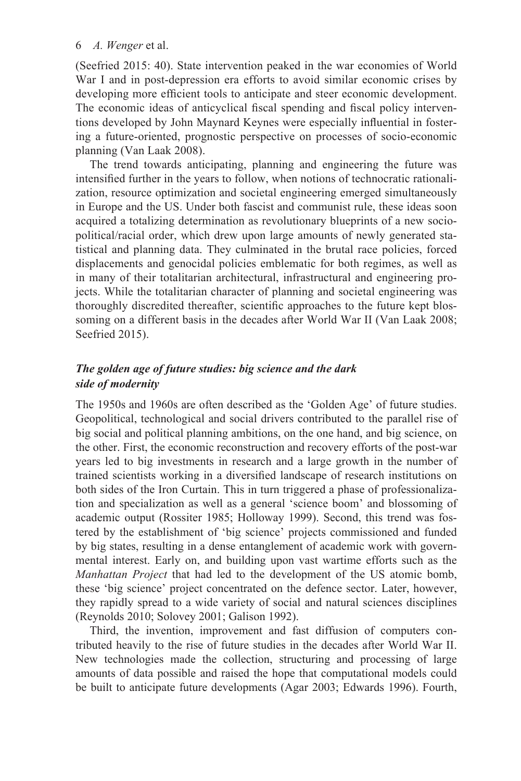(Seefried 2015: 40). State intervention peaked in the war economies of World War I and in post-depression era efforts to avoid similar economic crises by developing more efficient tools to anticipate and steer economic development. The economic ideas of anticyclical fiscal spending and fiscal policy interventions developed by John Maynard Keynes were especially influential in fostering a future-oriented, prognostic perspective on processes of socio-economic planning (Van Laak 2008).

The trend towards anticipating, planning and engineering the future was intensified further in the years to follow, when notions of technocratic rationalization, resource optimization and societal engineering emerged simultaneously in Europe and the US. Under both fascist and communist rule, these ideas soon acquired a totalizing determination as revolutionary blueprints of a new sociopolitical/racial order, which drew upon large amounts of newly generated statistical and planning data. They culminated in the brutal race policies, forced displacements and genocidal policies emblematic for both regimes, as well as in many of their totalitarian architectural, infrastructural and engineering projects. While the totalitarian character of planning and societal engineering was thoroughly discredited thereafter, scientific approaches to the future kept blossoming on a different basis in the decades after World War II (Van Laak 2008; Seefried 2015).

#### *The golden age of future studies: big science and the dark side of modernity*

The 1950s and 1960s are often described as the 'Golden Age' of future studies. Geopolitical, technological and social drivers contributed to the parallel rise of big social and political planning ambitions, on the one hand, and big science, on the other. First, the economic reconstruction and recovery efforts of the post-war years led to big investments in research and a large growth in the number of trained scientists working in a diversified landscape of research institutions on both sides of the Iron Curtain. This in turn triggered a phase of professionalization and specialization as well as a general 'science boom' and blossoming of academic output (Rossiter 1985; Holloway 1999). Second, this trend was fostered by the establishment of 'big science' projects commissioned and funded by big states, resulting in a dense entanglement of academic work with governmental interest. Early on, and building upon vast wartime efforts such as the *Manhattan Project* that had led to the development of the US atomic bomb, these 'big science' project concentrated on the defence sector. Later, however, they rapidly spread to a wide variety of social and natural sciences disciplines (Reynolds 2010; Solovey 2001; Galison 1992).

Third, the invention, improvement and fast diffusion of computers contributed heavily to the rise of future studies in the decades after World War II. New technologies made the collection, structuring and processing of large amounts of data possible and raised the hope that computational models could be built to anticipate future developments (Agar 2003; Edwards 1996). Fourth,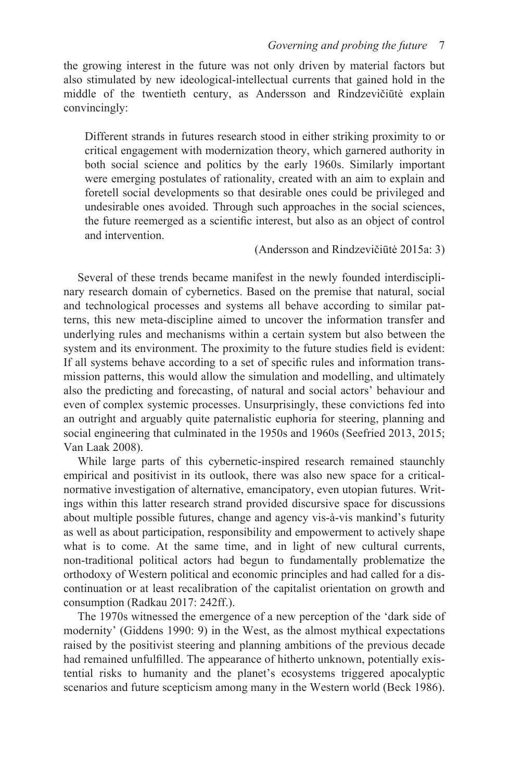the growing interest in the future was not only driven by material factors but also stimulated by new ideological-intellectual currents that gained hold in the middle of the twentieth century, as Andersson and Rindzevičiūtė explain convincingly:

Different strands in futures research stood in either striking proximity to or critical engagement with modernization theory, which garnered authority in both social science and politics by the early 1960s. Similarly important were emerging postulates of rationality, created with an aim to explain and foretell social developments so that desirable ones could be privileged and undesirable ones avoided. Through such approaches in the social sciences, the future reemerged as a scientific interest, but also as an object of control and intervention.

(Andersson and Rindzevičiūtė 2015a: 3)

Several of these trends became manifest in the newly founded interdisciplinary research domain of cybernetics. Based on the premise that natural, social and technological processes and systems all behave according to similar patterns, this new meta-discipline aimed to uncover the information transfer and underlying rules and mechanisms within a certain system but also between the system and its environment. The proximity to the future studies field is evident: If all systems behave according to a set of specific rules and information transmission patterns, this would allow the simulation and modelling, and ultimately also the predicting and forecasting, of natural and social actors' behaviour and even of complex systemic processes. Unsurprisingly, these convictions fed into an outright and arguably quite paternalistic euphoria for steering, planning and social engineering that culminated in the 1950s and 1960s (Seefried 2013, 2015; Van Laak 2008).

While large parts of this cybernetic-inspired research remained staunchly empirical and positivist in its outlook, there was also new space for a criticalnormative investigation of alternative, emancipatory, even utopian futures. Writings within this latter research strand provided discursive space for discussions about multiple possible futures, change and agency vis-à-vis mankind's futurity as well as about participation, responsibility and empowerment to actively shape what is to come. At the same time, and in light of new cultural currents, non-traditional political actors had begun to fundamentally problematize the orthodoxy of Western political and economic principles and had called for a discontinuation or at least recalibration of the capitalist orientation on growth and consumption (Radkau 2017: 242ff.).

The 1970s witnessed the emergence of a new perception of the 'dark side of modernity' (Giddens 1990: 9) in the West, as the almost mythical expectations raised by the positivist steering and planning ambitions of the previous decade had remained unfulfilled. The appearance of hitherto unknown, potentially existential risks to humanity and the planet's ecosystems triggered apocalyptic scenarios and future scepticism among many in the Western world (Beck 1986).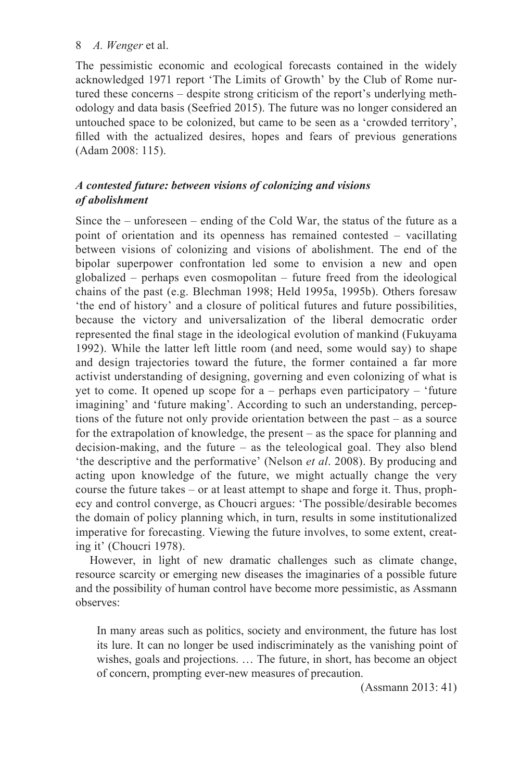The pessimistic economic and ecological forecasts contained in the widely acknowledged 1971 report 'The Limits of Growth' by the Club of Rome nurtured these concerns – despite strong criticism of the report's underlying methodology and data basis (Seefried 2015). The future was no longer considered an untouched space to be colonized, but came to be seen as a 'crowded territory', filled with the actualized desires, hopes and fears of previous generations (Adam 2008: 115).

# *A contested future: between visions of colonizing and visions of abolishment*

Since the – unforeseen – ending of the Cold War, the status of the future as a point of orientation and its openness has remained contested – vacillating between visions of colonizing and visions of abolishment. The end of the bipolar superpower confrontation led some to envision a new and open globalized – perhaps even cosmopolitan – future freed from the ideological chains of the past (e.g. Blechman 1998; Held 1995a, 1995b). Others foresaw 'the end of history' and a closure of political futures and future possibilities, because the victory and universalization of the liberal democratic order represented the final stage in the ideological evolution of mankind (Fukuyama 1992). While the latter left little room (and need, some would say) to shape and design trajectories toward the future, the former contained a far more activist understanding of designing, governing and even colonizing of what is yet to come. It opened up scope for a – perhaps even participatory – 'future imagining' and 'future making'. According to such an understanding, perceptions of the future not only provide orientation between the past – as a source for the extrapolation of knowledge, the present – as the space for planning and decision-making, and the future – as the teleological goal. They also blend 'the descriptive and the performative' (Nelson *et al*. 2008). By producing and acting upon knowledge of the future, we might actually change the very course the future takes – or at least attempt to shape and forge it. Thus, prophecy and control converge, as Choucri argues: 'The possible/desirable becomes the domain of policy planning which, in turn, results in some institutionalized imperative for forecasting. Viewing the future involves, to some extent, creating it' (Choucri 1978).

However, in light of new dramatic challenges such as climate change, resource scarcity or emerging new diseases the imaginaries of a possible future and the possibility of human control have become more pessimistic, as Assmann observes:

In many areas such as politics, society and environment, the future has lost its lure. It can no longer be used indiscriminately as the vanishing point of wishes, goals and projections. … The future, in short, has become an object of concern, prompting ever-new measures of precaution.

(Assmann 2013: 41)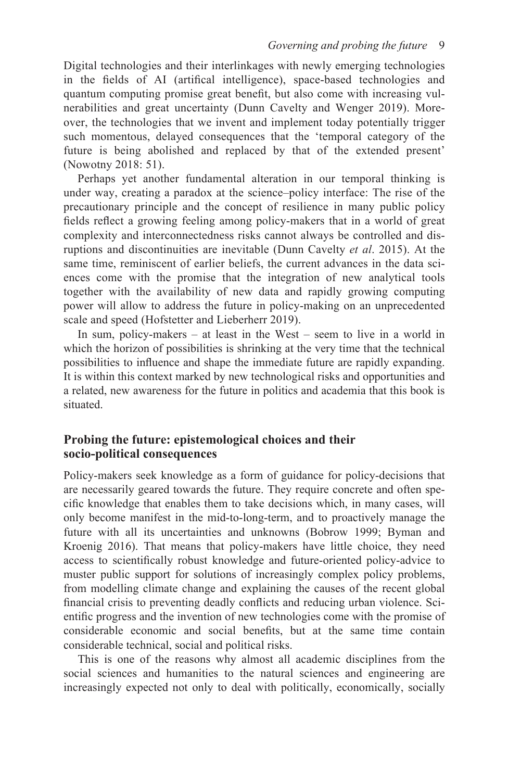Digital technologies and their interlinkages with newly emerging technologies in the fields of AI (artifical intelligence), space-based technologies and quantum computing promise great benefit, but also come with increasing vulnerabilities and great uncertainty (Dunn Cavelty and Wenger 2019). Moreover, the technologies that we invent and implement today potentially trigger such momentous, delayed consequences that the 'temporal category of the future is being abolished and replaced by that of the extended present' (Nowotny 2018: 51).

Perhaps yet another fundamental alteration in our temporal thinking is under way, creating a paradox at the science–policy interface: The rise of the precautionary principle and the concept of resilience in many public policy fields reflect a growing feeling among policy-makers that in a world of great complexity and interconnectedness risks cannot always be controlled and disruptions and discontinuities are inevitable (Dunn Cavelty *et al*. 2015). At the same time, reminiscent of earlier beliefs, the current advances in the data sciences come with the promise that the integration of new analytical tools together with the availability of new data and rapidly growing computing power will allow to address the future in policy-making on an unprecedented scale and speed (Hofstetter and Lieberherr 2019).

In sum, policy-makers – at least in the West – seem to live in a world in which the horizon of possibilities is shrinking at the very time that the technical possibilities to influence and shape the immediate future are rapidly expanding. It is within this context marked by new technological risks and opportunities and a related, new awareness for the future in politics and academia that this book is situated.

## **Probing the future: epistemological choices and their socio-political consequences**

Policy-makers seek knowledge as a form of guidance for policy-decisions that are necessarily geared towards the future. They require concrete and often specific knowledge that enables them to take decisions which, in many cases, will only become manifest in the mid-to-long-term, and to proactively manage the future with all its uncertainties and unknowns (Bobrow 1999; Byman and Kroenig 2016). That means that policy-makers have little choice, they need access to scientifically robust knowledge and future-oriented policy-advice to muster public support for solutions of increasingly complex policy problems, from modelling climate change and explaining the causes of the recent global financial crisis to preventing deadly conflicts and reducing urban violence. Scientific progress and the invention of new technologies come with the promise of considerable economic and social benefits, but at the same time contain considerable technical, social and political risks.

This is one of the reasons why almost all academic disciplines from the social sciences and humanities to the natural sciences and engineering are increasingly expected not only to deal with politically, economically, socially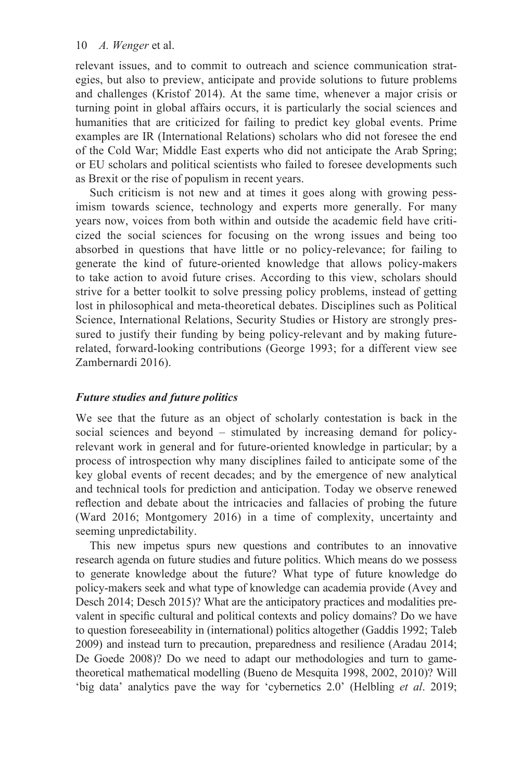relevant issues, and to commit to outreach and science communication strategies, but also to preview, anticipate and provide solutions to future problems and challenges (Kristof 2014). At the same time, whenever a major crisis or turning point in global affairs occurs, it is particularly the social sciences and humanities that are criticized for failing to predict key global events. Prime examples are IR (International Relations) scholars who did not foresee the end of the Cold War; Middle East experts who did not anticipate the Arab Spring; or EU scholars and political scientists who failed to foresee developments such as Brexit or the rise of populism in recent years.

Such criticism is not new and at times it goes along with growing pessimism towards science, technology and experts more generally. For many years now, voices from both within and outside the academic field have criticized the social sciences for focusing on the wrong issues and being too absorbed in questions that have little or no policy-relevance; for failing to generate the kind of future-oriented knowledge that allows policy-makers to take action to avoid future crises. According to this view, scholars should strive for a better toolkit to solve pressing policy problems, instead of getting lost in philosophical and meta-theoretical debates. Disciplines such as Political Science, International Relations, Security Studies or History are strongly pressured to justify their funding by being policy-relevant and by making futurerelated, forward-looking contributions (George 1993; for a different view see Zambernardi 2016).

#### *Future studies and future politics*

We see that the future as an object of scholarly contestation is back in the social sciences and beyond – stimulated by increasing demand for policyrelevant work in general and for future-oriented knowledge in particular; by a process of introspection why many disciplines failed to anticipate some of the key global events of recent decades; and by the emergence of new analytical and technical tools for prediction and anticipation. Today we observe renewed reflection and debate about the intricacies and fallacies of probing the future (Ward 2016; Montgomery 2016) in a time of complexity, uncertainty and seeming unpredictability.

This new impetus spurs new questions and contributes to an innovative research agenda on future studies and future politics. Which means do we possess to generate knowledge about the future? What type of future knowledge do policy-makers seek and what type of knowledge can academia provide (Avey and Desch 2014; Desch 2015)? What are the anticipatory practices and modalities prevalent in specific cultural and political contexts and policy domains? Do we have to question foreseeability in (international) politics altogether (Gaddis 1992; Taleb 2009) and instead turn to precaution, preparedness and resilience (Aradau 2014; De Goede 2008)? Do we need to adapt our methodologies and turn to gametheoretical mathematical modelling (Bueno de Mesquita 1998, 2002, 2010)? Will 'big data' analytics pave the way for 'cybernetics 2.0' (Helbling *et al*. 2019;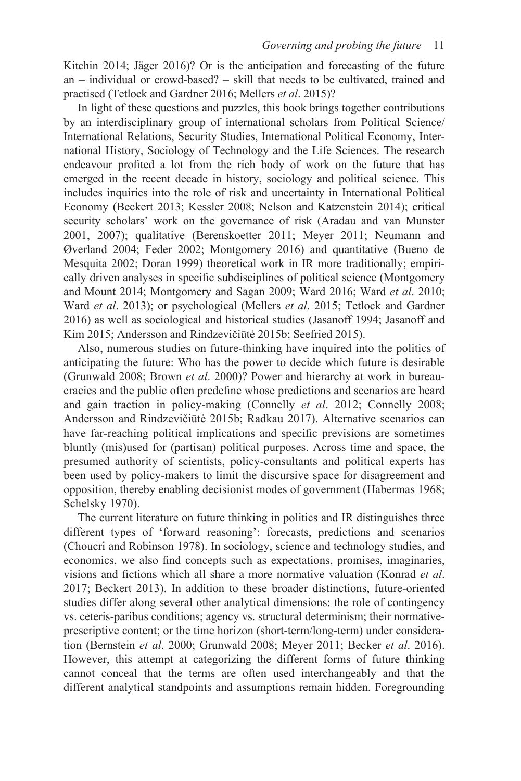Kitchin 2014; Jäger 2016)? Or is the anticipation and forecasting of the future an – individual or crowd-based? – skill that needs to be cultivated, trained and practised (Tetlock and Gardner 2016; Mellers *et al*. 2015)?

In light of these questions and puzzles, this book brings together contributions by an interdisciplinary group of international scholars from Political Science/ International Relations, Security Studies, International Political Economy, International History, Sociology of Technology and the Life Sciences. The research endeavour profited a lot from the rich body of work on the future that has emerged in the recent decade in history, sociology and political science. This includes inquiries into the role of risk and uncertainty in International Political Economy (Beckert 2013; Kessler 2008; Nelson and Katzenstein 2014); critical security scholars' work on the governance of risk (Aradau and van Munster 2001, 2007); qualitative (Berenskoetter 2011; Meyer 2011; Neumann and Øverland 2004; Feder 2002; Montgomery 2016) and quantitative (Bueno de Mesquita 2002; Doran 1999) theoretical work in IR more traditionally; empirically driven analyses in specific subdisciplines of political science (Montgomery and Mount 2014; Montgomery and Sagan 2009; Ward 2016; Ward *et al*. 2010; Ward *et al*. 2013); or psychological (Mellers *et al*. 2015; Tetlock and Gardner 2016) as well as sociological and historical studies (Jasanoff 1994; Jasanoff and Kim 2015; Andersson and Rindzevičiūtė 2015b; Seefried 2015).

Also, numerous studies on future-thinking have inquired into the politics of anticipating the future: Who has the power to decide which future is desirable (Grunwald 2008; Brown *et al*. 2000)? Power and hierarchy at work in bureaucracies and the public often predefine whose predictions and scenarios are heard and gain traction in policy-making (Connelly *et al*. 2012; Connelly 2008; Andersson and Rindzevičiūtė 2015b; Radkau 2017). Alternative scenarios can have far-reaching political implications and specific previsions are sometimes bluntly (mis)used for (partisan) political purposes. Across time and space, the presumed authority of scientists, policy-consultants and political experts has been used by policy-makers to limit the discursive space for disagreement and opposition, thereby enabling decisionist modes of government (Habermas 1968; Schelsky 1970).

The current literature on future thinking in politics and IR distinguishes three different types of 'forward reasoning': forecasts, predictions and scenarios (Choucri and Robinson 1978). In sociology, science and technology studies, and economics, we also find concepts such as expectations, promises, imaginaries, visions and fictions which all share a more normative valuation (Konrad *et al*. 2017; Beckert 2013). In addition to these broader distinctions, future-oriented studies differ along several other analytical dimensions: the role of contingency vs. ceteris-paribus conditions; agency vs. structural determinism; their normativeprescriptive content; or the time horizon (short-term/long-term) under consideration (Bernstein *et al*. 2000; Grunwald 2008; Meyer 2011; Becker *et al*. 2016). However, this attempt at categorizing the different forms of future thinking cannot conceal that the terms are often used interchangeably and that the different analytical standpoints and assumptions remain hidden. Foregrounding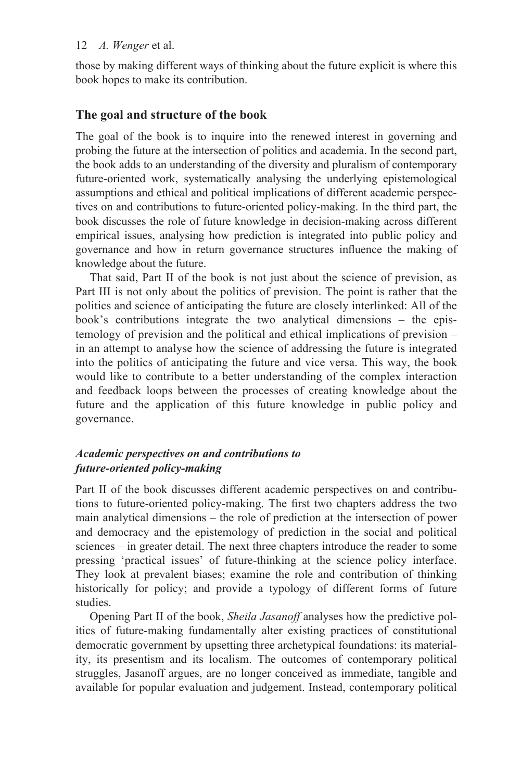those by making different ways of thinking about the future explicit is where this book hopes to make its contribution.

#### **The goal and structure of the book**

The goal of the book is to inquire into the renewed interest in governing and probing the future at the intersection of politics and academia. In the second part, the book adds to an understanding of the diversity and pluralism of contemporary future-oriented work, systematically analysing the underlying epistemological assumptions and ethical and political implications of different academic perspectives on and contributions to future-oriented policy-making. In the third part, the book discusses the role of future knowledge in decision-making across different empirical issues, analysing how prediction is integrated into public policy and governance and how in return governance structures influence the making of knowledge about the future.

That said, [Part II](#page--1-0) of the book is not just about the science of prevision, as [Part III](#page--1-0) is not only about the politics of prevision. The point is rather that the politics and science of anticipating the future are closely interlinked: All of the book's contributions integrate the two analytical dimensions – the epistemology of prevision and the political and ethical implications of prevision – in an attempt to analyse how the science of addressing the future is integrated into the politics of anticipating the future and vice versa. This way, the book would like to contribute to a better understanding of the complex interaction and feedback loops between the processes of creating knowledge about the future and the application of this future knowledge in public policy and governance.

#### *Academic perspectives on and contributions to future-oriented policy-making*

[Part II](#page--1-0) of the book discusses different academic perspectives on and contributions to future-oriented policy-making. The first two chapters address the two main analytical dimensions – the role of prediction at the intersection of power and democracy and the epistemology of prediction in the social and political sciences – in greater detail. The next three chapters introduce the reader to some pressing 'practical issues' of future-thinking at the science–policy interface. They look at prevalent biases; examine the role and contribution of thinking historically for policy; and provide a typology of different forms of future studies.

Opening [Part II o](#page--1-0)f the book, *Sheila Jasanoff* analyses how the predictive politics of future-making fundamentally alter existing practices of constitutional democratic government by upsetting three archetypical foundations: its materiality, its presentism and its localism. The outcomes of contemporary political struggles, Jasanoff argues, are no longer conceived as immediate, tangible and available for popular evaluation and judgement. Instead, contemporary political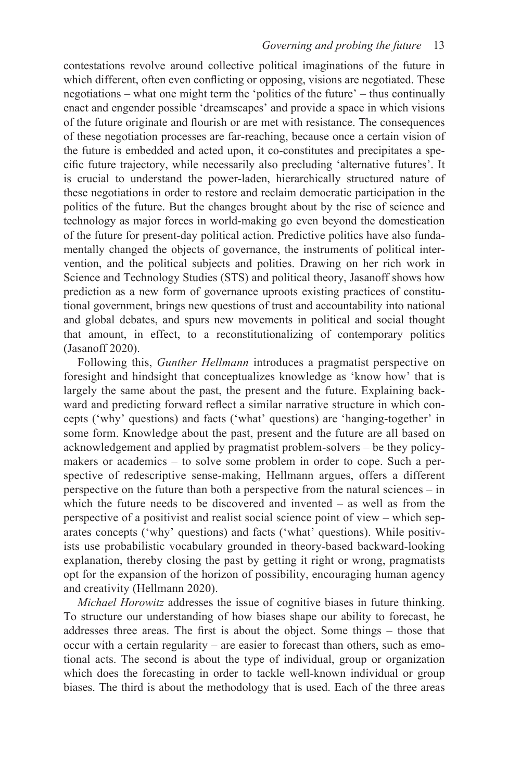contestations revolve around collective political imaginations of the future in which different, often even conflicting or opposing, visions are negotiated. These negotiations – what one might term the 'politics of the future' – thus continually enact and engender possible 'dreamscapes' and provide a space in which visions of the future originate and flourish or are met with resistance. The consequences of these negotiation processes are far-reaching, because once a certain vision of the future is embedded and acted upon, it co-constitutes and precipitates a specific future trajectory, while necessarily also precluding 'alternative futures'. It is crucial to understand the power-laden, hierarchically structured nature of these negotiations in order to restore and reclaim democratic participation in the politics of the future. But the changes brought about by the rise of science and technology as major forces in world-making go even beyond the domestication of the future for present-day political action. Predictive politics have also fundamentally changed the objects of governance, the instruments of political intervention, and the political subjects and polities. Drawing on her rich work in Science and Technology Studies (STS) and political theory, Jasanoff shows how prediction as a new form of governance uproots existing practices of constitutional government, brings new questions of trust and accountability into national and global debates, and spurs new movements in political and social thought that amount, in effect, to a reconstitutionalizing of contemporary politics (Jasanoff 2020).

Following this, *Gunther Hellmann* introduces a pragmatist perspective on foresight and hindsight that conceptualizes knowledge as 'know how' that is largely the same about the past, the present and the future. Explaining backward and predicting forward reflect a similar narrative structure in which concepts ('why' questions) and facts ('what' questions) are 'hanging-together' in some form. Knowledge about the past, present and the future are all based on acknowledgement and applied by pragmatist problem-solvers – be they policymakers or academics – to solve some problem in order to cope. Such a perspective of redescriptive sense-making, Hellmann argues, offers a different perspective on the future than both a perspective from the natural sciences – in which the future needs to be discovered and invented – as well as from the perspective of a positivist and realist social science point of view – which separates concepts ('why' questions) and facts ('what' questions). While positivists use probabilistic vocabulary grounded in theory-based backward-looking explanation, thereby closing the past by getting it right or wrong, pragmatists opt for the expansion of the horizon of possibility, encouraging human agency and creativity (Hellmann 2020).

*Michael Horowitz* addresses the issue of cognitive biases in future thinking. To structure our understanding of how biases shape our ability to forecast, he addresses three areas. The first is about the object. Some things – those that occur with a certain regularity – are easier to forecast than others, such as emotional acts. The second is about the type of individual, group or organization which does the forecasting in order to tackle well-known individual or group biases. The third is about the methodology that is used. Each of the three areas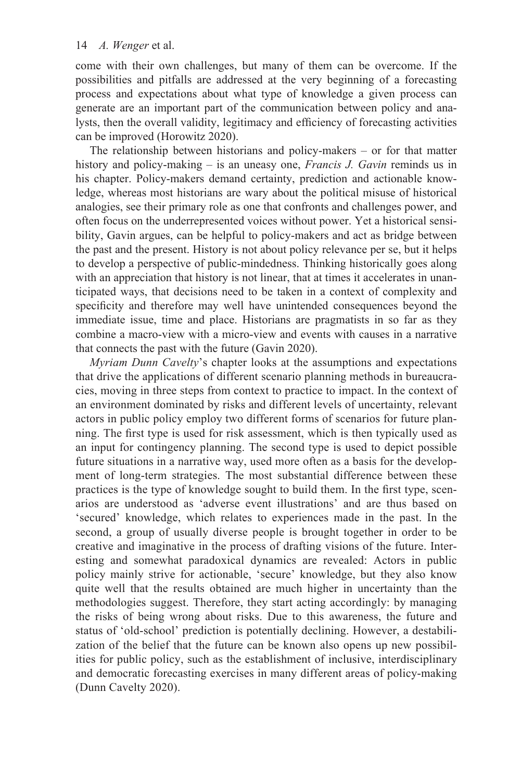come with their own challenges, but many of them can be overcome. If the possibilities and pitfalls are addressed at the very beginning of a forecasting process and expectations about what type of knowledge a given process can generate are an important part of the communication between policy and analysts, then the overall validity, legitimacy and efficiency of forecasting activities can be improved (Horowitz 2020).

The relationship between historians and policy-makers – or for that matter history and policy-making – is an uneasy one, *Francis J. Gavin* reminds us in his chapter. Policy-makers demand certainty, prediction and actionable knowledge, whereas most historians are wary about the political misuse of historical analogies, see their primary role as one that confronts and challenges power, and often focus on the underrepresented voices without power. Yet a historical sensibility, Gavin argues, can be helpful to policy-makers and act as bridge between the past and the present. History is not about policy relevance per se, but it helps to develop a perspective of public-mindedness. Thinking historically goes along with an appreciation that history is not linear, that at times it accelerates in unanticipated ways, that decisions need to be taken in a context of complexity and specificity and therefore may well have unintended consequences beyond the immediate issue, time and place. Historians are pragmatists in so far as they combine a macro-view with a micro-view and events with causes in a narrative that connects the past with the future (Gavin 2020).

*Myriam Dunn Cavelty*'s chapter looks at the assumptions and expectations that drive the applications of different scenario planning methods in bureaucracies, moving in three steps from context to practice to impact. In the context of an environment dominated by risks and different levels of uncertainty, relevant actors in public policy employ two different forms of scenarios for future planning. The first type is used for risk assessment, which is then typically used as an input for contingency planning. The second type is used to depict possible future situations in a narrative way, used more often as a basis for the development of long-term strategies. The most substantial difference between these practices is the type of knowledge sought to build them. In the first type, scenarios are understood as 'adverse event illustrations' and are thus based on 'secured' knowledge, which relates to experiences made in the past. In the second, a group of usually diverse people is brought together in order to be creative and imaginative in the process of drafting visions of the future. Interesting and somewhat paradoxical dynamics are revealed: Actors in public policy mainly strive for actionable, 'secure' knowledge, but they also know quite well that the results obtained are much higher in uncertainty than the methodologies suggest. Therefore, they start acting accordingly: by managing the risks of being wrong about risks. Due to this awareness, the future and status of 'old-school' prediction is potentially declining. However, a destabilization of the belief that the future can be known also opens up new possibilities for public policy, such as the establishment of inclusive, interdisciplinary and democratic forecasting exercises in many different areas of policy-making (Dunn Cavelty 2020).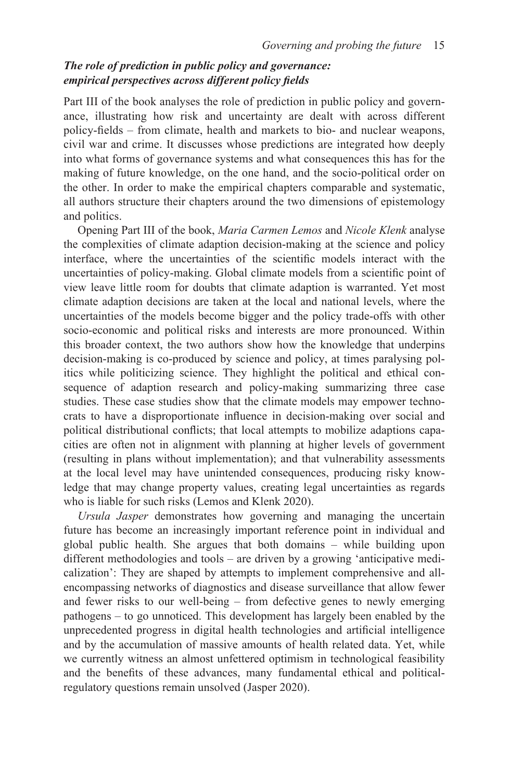#### *The role of prediction in public policy and governance: empirical perspectives across different policy fields*

[Part III](#page--1-0) of the book analyses the role of prediction in public policy and governance, illustrating how risk and uncertainty are dealt with across different policy-fields – from climate, health and markets to bio- and nuclear weapons, civil war and crime. It discusses whose predictions are integrated how deeply into what forms of governance systems and what consequences this has for the making of future knowledge, on the one hand, and the socio-political order on the other. In order to make the empirical chapters comparable and systematic, all authors structure their chapters around the two dimensions of epistemology and politics.

Opening [Part III o](#page--1-0)f the book, *Maria Carmen Lemos* and *Nicole Klenk* analyse the complexities of climate adaption decision-making at the science and policy interface, where the uncertainties of the scientific models interact with the uncertainties of policy-making. Global climate models from a scientific point of view leave little room for doubts that climate adaption is warranted. Yet most climate adaption decisions are taken at the local and national levels, where the uncertainties of the models become bigger and the policy trade-offs with other socio-economic and political risks and interests are more pronounced. Within this broader context, the two authors show how the knowledge that underpins decision-making is co-produced by science and policy, at times paralysing politics while politicizing science. They highlight the political and ethical consequence of adaption research and policy-making summarizing three case studies. These case studies show that the climate models may empower technocrats to have a disproportionate influence in decision-making over social and political distributional conflicts; that local attempts to mobilize adaptions capacities are often not in alignment with planning at higher levels of government (resulting in plans without implementation); and that vulnerability assessments at the local level may have unintended consequences, producing risky knowledge that may change property values, creating legal uncertainties as regards who is liable for such risks (Lemos and Klenk 2020).

*Ursula Jasper* demonstrates how governing and managing the uncertain future has become an increasingly important reference point in individual and global public health. She argues that both domains – while building upon different methodologies and tools – are driven by a growing 'anticipative medicalization': They are shaped by attempts to implement comprehensive and allencompassing networks of diagnostics and disease surveillance that allow fewer and fewer risks to our well-being – from defective genes to newly emerging pathogens – to go unnoticed. This development has largely been enabled by the unprecedented progress in digital health technologies and artificial intelligence and by the accumulation of massive amounts of health related data. Yet, while we currently witness an almost unfettered optimism in technological feasibility and the benefits of these advances, many fundamental ethical and politicalregulatory questions remain unsolved (Jasper 2020).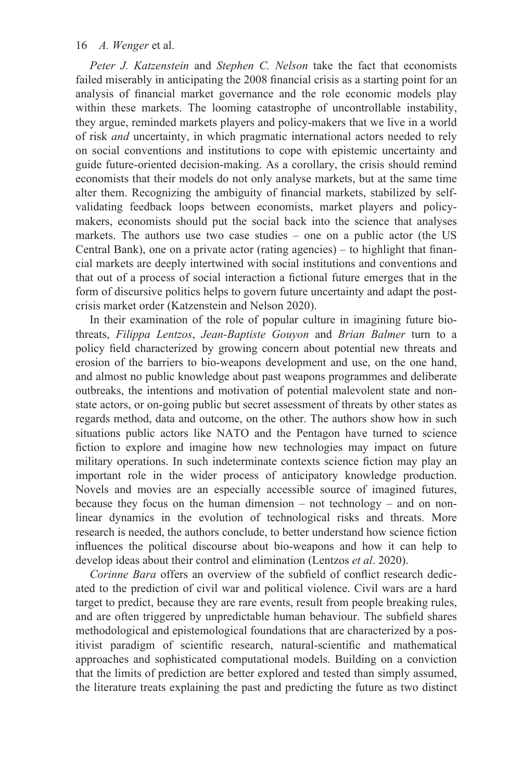*Peter J. Katzenstein* and *Stephen C. Nelson* take the fact that economists failed miserably in anticipating the 2008 financial crisis as a starting point for an analysis of financial market governance and the role economic models play within these markets. The looming catastrophe of uncontrollable instability, they argue, reminded markets players and policy-makers that we live in a world of risk *and* uncertainty, in which pragmatic international actors needed to rely on social conventions and institutions to cope with epistemic uncertainty and guide future-oriented decision-making. As a corollary, the crisis should remind economists that their models do not only analyse markets, but at the same time alter them. Recognizing the ambiguity of financial markets, stabilized by selfvalidating feedback loops between economists, market players and policymakers, economists should put the social back into the science that analyses markets. The authors use two case studies – one on a public actor (the US Central Bank), one on a private actor (rating agencies) – to highlight that financial markets are deeply intertwined with social institutions and conventions and that out of a process of social interaction a fictional future emerges that in the form of discursive politics helps to govern future uncertainty and adapt the postcrisis market order (Katzenstein and Nelson 2020).

In their examination of the role of popular culture in imagining future biothreats, *Filippa Lentzos*, *Jean-Baptiste Gouyon* and *Brian Balmer* turn to a policy field characterized by growing concern about potential new threats and erosion of the barriers to bio-weapons development and use, on the one hand, and almost no public knowledge about past weapons programmes and deliberate outbreaks, the intentions and motivation of potential malevolent state and nonstate actors, or on-going public but secret assessment of threats by other states as regards method, data and outcome, on the other. The authors show how in such situations public actors like NATO and the Pentagon have turned to science fiction to explore and imagine how new technologies may impact on future military operations. In such indeterminate contexts science fiction may play an important role in the wider process of anticipatory knowledge production. Novels and movies are an especially accessible source of imagined futures, because they focus on the human dimension – not technology – and on nonlinear dynamics in the evolution of technological risks and threats. More research is needed, the authors conclude, to better understand how science fiction influences the political discourse about bio-weapons and how it can help to develop ideas about their control and elimination (Lentzos *et al*. 2020).

*Corinne Bara* offers an overview of the subfield of conflict research dedicated to the prediction of civil war and political violence. Civil wars are a hard target to predict, because they are rare events, result from people breaking rules, and are often triggered by unpredictable human behaviour. The subfield shares methodological and epistemological foundations that are characterized by a positivist paradigm of scientific research, natural-scientific and mathematical approaches and sophisticated computational models. Building on a conviction that the limits of prediction are better explored and tested than simply assumed, the literature treats explaining the past and predicting the future as two distinct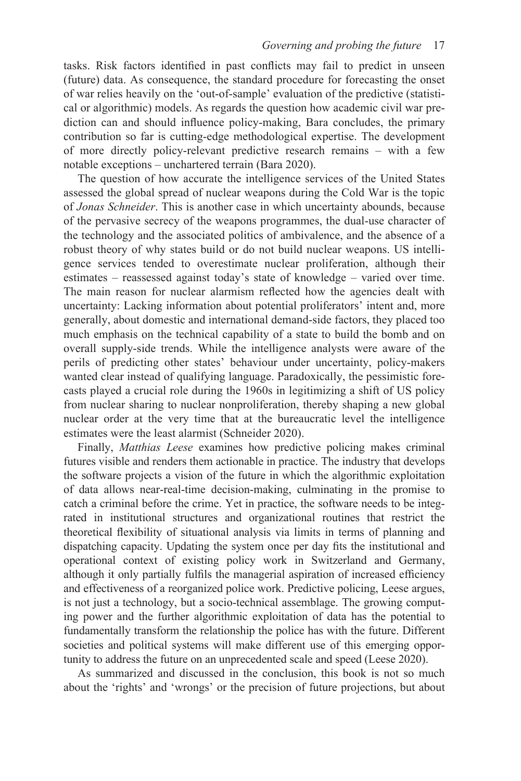tasks. Risk factors identified in past conflicts may fail to predict in unseen (future) data. As consequence, the standard procedure for forecasting the onset of war relies heavily on the 'out-of-sample' evaluation of the predictive (statistical or algorithmic) models. As regards the question how academic civil war prediction can and should influence policy-making, Bara concludes, the primary contribution so far is cutting-edge methodological expertise. The development of more directly policy-relevant predictive research remains – with a few notable exceptions – unchartered terrain (Bara 2020).

The question of how accurate the intelligence services of the United States assessed the global spread of nuclear weapons during the Cold War is the topic of *Jonas Schneider*. This is another case in which uncertainty abounds, because of the pervasive secrecy of the weapons programmes, the dual-use character of the technology and the associated politics of ambivalence, and the absence of a robust theory of why states build or do not build nuclear weapons. US intelligence services tended to overestimate nuclear proliferation, although their estimates – reassessed against today's state of knowledge – varied over time. The main reason for nuclear alarmism reflected how the agencies dealt with uncertainty: Lacking information about potential proliferators' intent and, more generally, about domestic and international demand-side factors, they placed too much emphasis on the technical capability of a state to build the bomb and on overall supply-side trends. While the intelligence analysts were aware of the perils of predicting other states' behaviour under uncertainty, policy-makers wanted clear instead of qualifying language. Paradoxically, the pessimistic forecasts played a crucial role during the 1960s in legitimizing a shift of US policy from nuclear sharing to nuclear nonproliferation, thereby shaping a new global nuclear order at the very time that at the bureaucratic level the intelligence estimates were the least alarmist (Schneider 2020).

Finally, *Matthias Leese* examines how predictive policing makes criminal futures visible and renders them actionable in practice. The industry that develops the software projects a vision of the future in which the algorithmic exploitation of data allows near-real-time decision-making, culminating in the promise to catch a criminal before the crime. Yet in practice, the software needs to be integrated in institutional structures and organizational routines that restrict the theoretical flexibility of situational analysis via limits in terms of planning and dispatching capacity. Updating the system once per day fits the institutional and operational context of existing policy work in Switzerland and Germany, although it only partially fulfils the managerial aspiration of increased efficiency and effectiveness of a reorganized police work. Predictive policing, Leese argues, is not just a technology, but a socio-technical assemblage. The growing computing power and the further algorithmic exploitation of data has the potential to fundamentally transform the relationship the police has with the future. Different societies and political systems will make different use of this emerging opportunity to address the future on an unprecedented scale and speed (Leese 2020).

As summarized and discussed in the conclusion, this book is not so much about the 'rights' and 'wrongs' or the precision of future projections, but about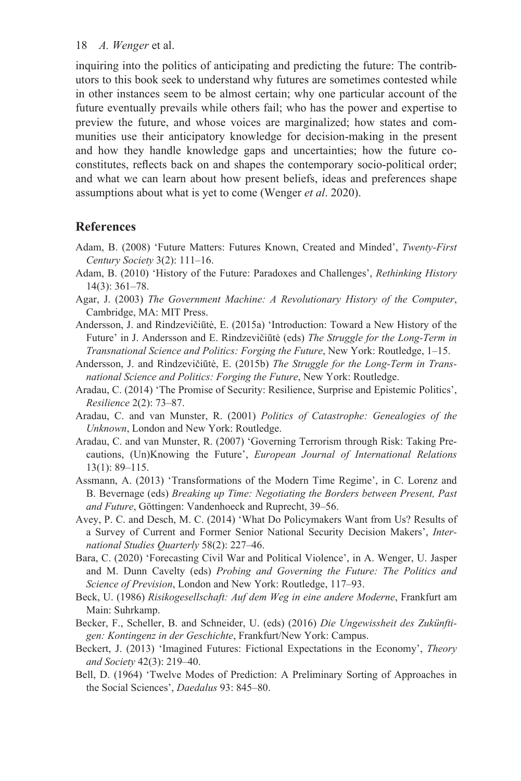inquiring into the politics of anticipating and predicting the future: The contributors to this book seek to understand why futures are sometimes contested while in other instances seem to be almost certain; why one particular account of the future eventually prevails while others fail; who has the power and expertise to preview the future, and whose voices are marginalized; how states and communities use their anticipatory knowledge for decision-making in the present and how they handle knowledge gaps and uncertainties; how the future coconstitutes, reflects back on and shapes the contemporary socio-political order; and what we can learn about how present beliefs, ideas and preferences shape assumptions about what is yet to come (Wenger *et al*. 2020).

# **References**

- Adam, B. (2008) 'Future Matters: Futures Known, Created and Minded', *Twenty-First Century Society* 3(2): 111–16.
- Adam, B. (2010) 'History of the Future: Paradoxes and Challenges', *Rethinking History*  14(3): 361–78.
- Agar, J. (2003) *The Government Machine: A Revolutionary History of the Computer*, Cambridge, MA: MIT Press.
- Andersson, J. and Rindzevičiūtė, E. (2015a) 'Introduction: Toward a New History of the Future' in J. Andersson and E. Rindzevičiūtė (eds) *The Struggle for the Long-Term in Transnational Science and Politics: Forging the Future*, New York: Routledge, 1–15.
- Andersson, J. and Rindzevičiūtė, E. (2015b) *The Struggle for the Long-Term in Transnational Science and Politics: Forging the Future*, New York: Routledge.
- Aradau, C. (2014) 'The Promise of Security: Resilience, Surprise and Epistemic Politics', *Resilience* 2(2): 73–87.
- Aradau, C. and van Munster, R. (2001) *Politics of Catastrophe: Genealogies of the Unknown*, London and New York: Routledge.
- Aradau, C. and van Munster, R. (2007) 'Governing Terrorism through Risk: Taking Precautions, (Un)Knowing the Future', *European Journal of International Relations*  13(1): 89–115.
- Assmann, A. (2013) 'Transformations of the Modern Time Regime', in C. Lorenz and B. Bevernage (eds) *Breaking up Time: Negotiating the Borders between Present, Past and Future*, Göttingen: Vandenhoeck and Ruprecht, 39–56.
- Avey, P. C. and Desch, M. C. (2014) 'What Do Policymakers Want from Us? Results of a Survey of Current and Former Senior National Security Decision Makers', *International Studies Quarterly* 58(2): 227–46.
- Bara, C. (2020) 'Forecasting Civil War and Political Violence', in A. Wenger, U. Jasper and M. Dunn Cavelty (eds) *Probing and Governing the Future: The Politics and Science of Prevision*, London and New York: Routledge, 117–93.
- Beck, U. (1986) *Risikogesellschaft: Auf dem Weg in eine andere Moderne*, Frankfurt am Main: Suhrkamp.
- Becker, F., Scheller, B. and Schneider, U. (eds) (2016) *Die Ungewissheit des Zukünftigen: Kontingenz in der Geschichte*, Frankfurt/New York: Campus.
- Beckert, J. (2013) 'Imagined Futures: Fictional Expectations in the Economy', *Theory and Society* 42(3): 219–40.
- Bell, D. (1964) 'Twelve Modes of Prediction: A Preliminary Sorting of Approaches in the Social Sciences', *Daedalus* 93: 845–80.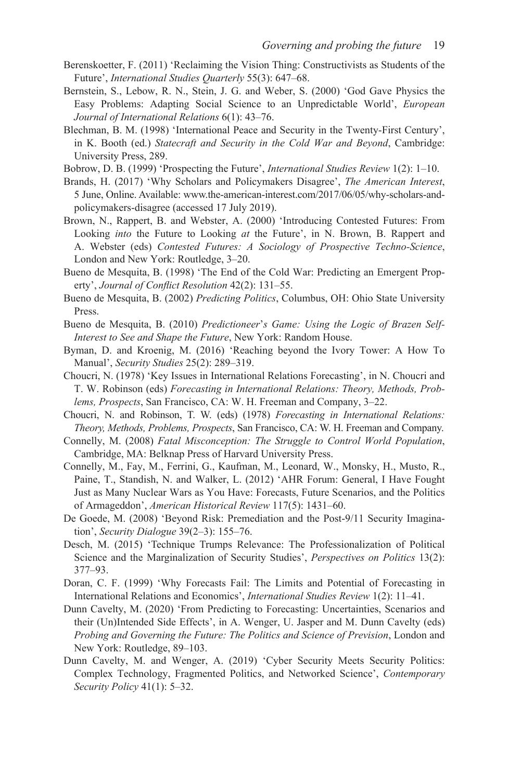- Berenskoetter, F. (2011) 'Reclaiming the Vision Thing: Constructivists as Students of the Future', *International Studies Quarterly* 55(3): 647–68.
- Bernstein, S., Lebow, R. N., Stein, J. G. and Weber, S. (2000) 'God Gave Physics the Easy Problems: Adapting Social Science to an Unpredictable World', *European Journal of International Relations* 6(1): 43–76.
- Blechman, B. M. (1998) 'International Peace and Security in the Twenty-First Century', in K. Booth (ed.) *Statecraft and Security in the Cold War and Beyond*, Cambridge: University Press, 289.
- Bobrow, D. B. (1999) 'Prospecting the Future', *International Studies Review* 1(2): 1–10.
- Brands, H. (2017) 'Why Scholars and Policymakers Disagree', *The American Interest*, 5 June, Online. Available[: www.the-american-interest.com/2017/06/05/why-scholars-and](http://www.the-american-interest.com)[policymakers-disagree](http://www.the-american-interest.com) (accessed 17 July 2019).
- Brown, N., Rappert, B. and Webster, A. (2000) 'Introducing Contested Futures: From Looking *into* the Future to Looking *at* the Future', in N. Brown, B. Rappert and A. Webster (eds) *Contested Futures: A Sociology of Prospective Techno-Science*, London and New York: Routledge, 3–20.
- Bueno de Mesquita, B. (1998) 'The End of the Cold War: Predicting an Emergent Property', *Journal of Conflict Resolution* 42(2): 131–55.
- Bueno de Mesquita, B. (2002) *Predicting Politics*, Columbus, OH: Ohio State University Press.
- Bueno de Mesquita, B. (2010) *Predictioneer*'*s Game: Using the Logic of Brazen Self-Interest to See and Shape the Future*, New York: Random House.
- Byman, D. and Kroenig, M. (2016) 'Reaching beyond the Ivory Tower: A How To Manual', *Security Studies* 25(2): 289–319.
- Choucri, N. (1978) 'Key Issues in International Relations Forecasting', in N. Choucri and T. W. Robinson (eds) *Forecasting in International Relations: Theory, Methods, Problems, Prospects*, San Francisco, CA: W. H. Freeman and Company, 3–22.
- Choucri, N. and Robinson, T. W. (eds) (1978) *Forecasting in International Relations: Theory, Methods, Problems, Prospects*, San Francisco, CA: W. H. Freeman and Company.
- Connelly, M. (2008) *Fatal Misconception: The Struggle to Control World Population*, Cambridge, MA: Belknap Press of Harvard University Press.
- Connelly, M., Fay, M., Ferrini, G., Kaufman, M., Leonard, W., Monsky, H., Musto, R., Paine, T., Standish, N. and Walker, L. (2012) 'AHR Forum: General, I Have Fought Just as Many Nuclear Wars as You Have: Forecasts, Future Scenarios, and the Politics of Armageddon', *American Historical Review* 117(5): 1431–60.
- De Goede, M. (2008) 'Beyond Risk: Premediation and the Post-9/11 Security Imagination', *Security Dialogue* 39(2–3): 155–76.
- Desch, M. (2015) 'Technique Trumps Relevance: The Professionalization of Political Science and the Marginalization of Security Studies', *Perspectives on Politics* 13(2): 377–93.
- Doran, C. F. (1999) 'Why Forecasts Fail: The Limits and Potential of Forecasting in International Relations and Economics', *International Studies Review* 1(2): 11–41.
- Dunn Cavelty, M. (2020) 'From Predicting to Forecasting: Uncertainties, Scenarios and their (Un)Intended Side Effects', in A. Wenger, U. Jasper and M. Dunn Cavelty (eds) *Probing and Governing the Future: The Politics and Science of Prevision*, London and New York: Routledge, 89–103.
- Dunn Cavelty, M. and Wenger, A. (2019) 'Cyber Security Meets Security Politics: Complex Technology, Fragmented Politics, and Networked Science', *Contemporary Security Policy* 41(1): 5–32.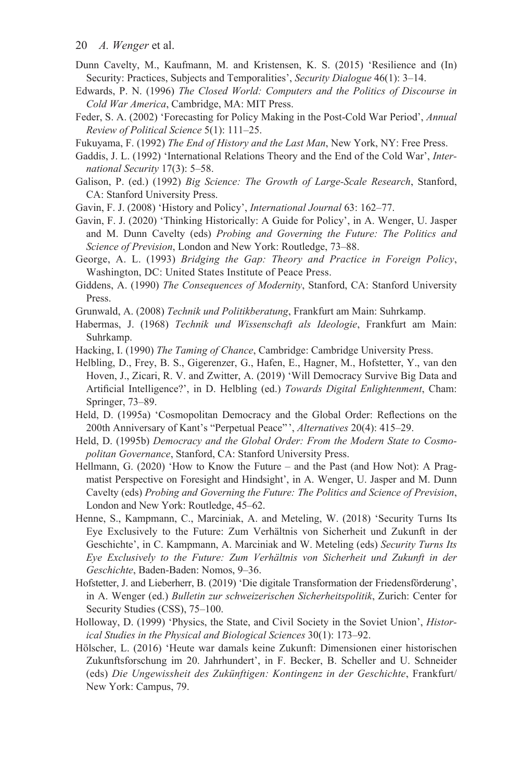- 20 *A. Wenger* et al.
- Dunn Cavelty, M., Kaufmann, M. and Kristensen, K. S. (2015) 'Resilience and (In) Security: Practices, Subjects and Temporalities', *Security Dialogue* 46(1): 3–14.
- Edwards, P. N. (1996) *The Closed World: Computers and the Politics of Discourse in Cold War America*, Cambridge, MA: MIT Press.
- Feder, S. A. (2002) 'Forecasting for Policy Making in the Post-Cold War Period', *Annual Review of Political Science* 5(1): 111–25.
- Fukuyama, F. (1992) *The End of History and the Last Man*, New York, NY: Free Press.
- Gaddis, J. L. (1992) 'International Relations Theory and the End of the Cold War', *International Security* 17(3): 5–58.
- Galison, P. (ed.) (1992) *Big Science: The Growth of Large-Scale Research*, Stanford, CA: Stanford University Press.
- Gavin, F. J. (2008) 'History and Policy', *International Journal* 63: 162–77.
- Gavin, F. J. (2020) 'Thinking Historically: A Guide for Policy', in A. Wenger, U. Jasper and M. Dunn Cavelty (eds) *Probing and Governing the Future: The Politics and Science of Prevision*, London and New York: Routledge, 73–88.
- George, A. L. (1993) *Bridging the Gap: Theory and Practice in Foreign Policy*, Washington, DC: United States Institute of Peace Press.
- Giddens, A. (1990) *The Consequences of Modernity*, Stanford, CA: Stanford University Press.
- Grunwald, A. (2008) *Technik und Politikberatung*, Frankfurt am Main: Suhrkamp.
- Habermas, J. (1968) *Technik und Wissenschaft als Ideologie*, Frankfurt am Main: Suhrkamp.
- Hacking, I. (1990) *The Taming of Chance*, Cambridge: Cambridge University Press.
- Helbling, D., Frey, B. S., Gigerenzer, G., Hafen, E., Hagner, M., Hofstetter, Y., van den Hoven, J., Zicari, R. V. and Zwitter, A. (2019) 'Will Democracy Survive Big Data and Artificial Intelligence?', in D. Helbling (ed.) *Towards Digital Enlightenment*, Cham: Springer, 73–89.
- Held, D. (1995a) 'Cosmopolitan Democracy and the Global Order: Reflections on the 200th Anniversary of Kant's "Perpetual Peace"', *Alternatives* 20(4): 415–29.
- Held, D. (1995b) *Democracy and the Global Order: From the Modern State to Cosmopolitan Governance*, Stanford, CA: Stanford University Press.
- Hellmann, G. (2020) 'How to Know the Future and the Past (and How Not): A Pragmatist Perspective on Foresight and Hindsight', in A. Wenger, U. Jasper and M. Dunn Cavelty (eds) *Probing and Governing the Future: The Politics and Science of Prevision*, London and New York: Routledge, 45–62.
- Henne, S., Kampmann, C., Marciniak, A. and Meteling, W. (2018) 'Security Turns Its Eye Exclusively to the Future: Zum Verhältnis von Sicherheit und Zukunft in der Geschichte', in C. Kampmann, A. Marciniak and W. Meteling (eds) *Security Turns Its Eye Exclusively to the Future: Zum Verhältnis von Sicherheit und Zukunft in der Geschichte*, Baden-Baden: Nomos, 9–36.
- Hofstetter, J. and Lieberherr, B. (2019) 'Die digitale Transformation der Friedensförderung', in A. Wenger (ed.) *Bulletin zur schweizerischen Sicherheitspolitik*, Zurich: Center for Security Studies (CSS), 75–100.
- Holloway, D. (1999) 'Physics, the State, and Civil Society in the Soviet Union', *Historical Studies in the Physical and Biological Sciences* 30(1): 173–92.
- Hölscher, L. (2016) 'Heute war damals keine Zukunft: Dimensionen einer historischen Zukunftsforschung im 20. Jahrhundert', in F. Becker, B. Scheller and U. Schneider (eds) *Die Ungewissheit des Zukünftigen: Kontingenz in der Geschichte*, Frankfurt/ New York: Campus, 79.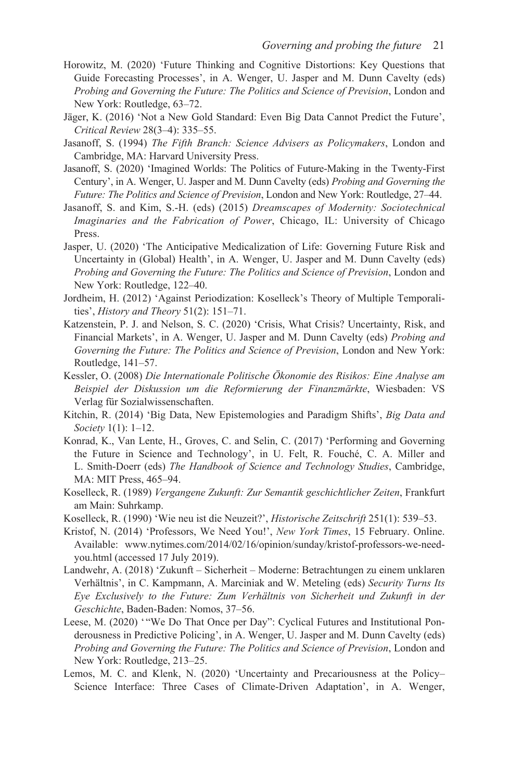- Horowitz, M. (2020) 'Future Thinking and Cognitive Distortions: Key Questions that Guide Forecasting Processes', in A. Wenger, U. Jasper and M. Dunn Cavelty (eds) *Probing and Governing the Future: The Politics and Science of Prevision*, London and New York: Routledge, 63–72.
- Jäger, K. (2016) 'Not a New Gold Standard: Even Big Data Cannot Predict the Future', *Critical Review* 28(3–4): 335–55.
- Jasanoff, S. (1994) *The Fifth Branch: Science Advisers as Policymakers*, London and Cambridge, MA: Harvard University Press.
- Jasanoff, S. (2020) 'Imagined Worlds: The Politics of Future-Making in the Twenty-First Century', in A. Wenger, U. Jasper and M. Dunn Cavelty (eds) *Probing and Governing the Future: The Politics and Science of Prevision*, London and New York: Routledge, 27–44.
- Jasanoff, S. and Kim, S.-H. (eds) (2015) *Dreamscapes of Modernity: Sociotechnical Imaginaries and the Fabrication of Power*, Chicago, IL: University of Chicago Press.
- Jasper, U. (2020) 'The Anticipative Medicalization of Life: Governing Future Risk and Uncertainty in (Global) Health', in A. Wenger, U. Jasper and M. Dunn Cavelty (eds) *Probing and Governing the Future: The Politics and Science of Prevision*, London and New York: Routledge, 122–40.
- Jordheim, H. (2012) 'Against Periodization: Koselleck's Theory of Multiple Temporalities', *History and Theory* 51(2): 151–71.
- Katzenstein, P. J. and Nelson, S. C. (2020) 'Crisis, What Crisis? Uncertainty, Risk, and Financial Markets', in A. Wenger, U. Jasper and M. Dunn Cavelty (eds) *Probing and Governing the Future: The Politics and Science of Prevision*, London and New York: Routledge, 141–57.
- Kessler, O. (2008) *Die Internationale Politische Ökonomie des Risikos: Eine Analyse am Beispiel der Diskussion um die Reformierung der Finanzmärkte*, Wiesbaden: VS Verlag für Sozialwissenschaften.
- Kitchin, R. (2014) 'Big Data, New Epistemologies and Paradigm Shifts', *Big Data and Society* 1(1): 1–12.
- Konrad, K., Van Lente, H., Groves, C. and Selin, C. (2017) 'Performing and Governing the Future in Science and Technology', in U. Felt, R. Fouché, C. A. Miller and L. Smith-Doerr (eds) *The Handbook of Science and Technology Studies*, Cambridge, MA: MIT Press, 465–94.
- Koselleck, R. (1989) *Vergangene Zukunft: Zur Semantik geschichtlicher Zeiten*, Frankfurt am Main: Suhrkamp.
- Koselleck, R. (1990) 'Wie neu ist die Neuzeit?', *Historische Zeitschrift* 251(1): 539–53.
- Kristof, N. (2014) 'Professors, We Need You!', *New York Times*, 15 February. Online. Available: [www.nytimes.com/2014/02/16/opinion/sunday/kristof-professors-we-need](www.nytimes.com)[you.html](www.nytimes.com) (accessed 17 July 2019).
- Landwehr, A. (2018) 'Zukunft Sicherheit Moderne: Betrachtungen zu einem unklaren Verhältnis', in C. Kampmann, A. Marciniak and W. Meteling (eds) *Security Turns Its Eye Exclusively to the Future: Zum Verhältnis von Sicherheit und Zukunft in der Geschichte*, Baden-Baden: Nomos, 37–56.
- Leese, M. (2020) "We Do That Once per Day": Cyclical Futures and Institutional Ponderousness in Predictive Policing', in A. Wenger, U. Jasper and M. Dunn Cavelty (eds) *Probing and Governing the Future: The Politics and Science of Prevision*, London and New York: Routledge, 213–25.
- Lemos, M. C. and Klenk, N. (2020) 'Uncertainty and Precariousness at the Policy– Science Interface: Three Cases of Climate-Driven Adaptation', in A. Wenger,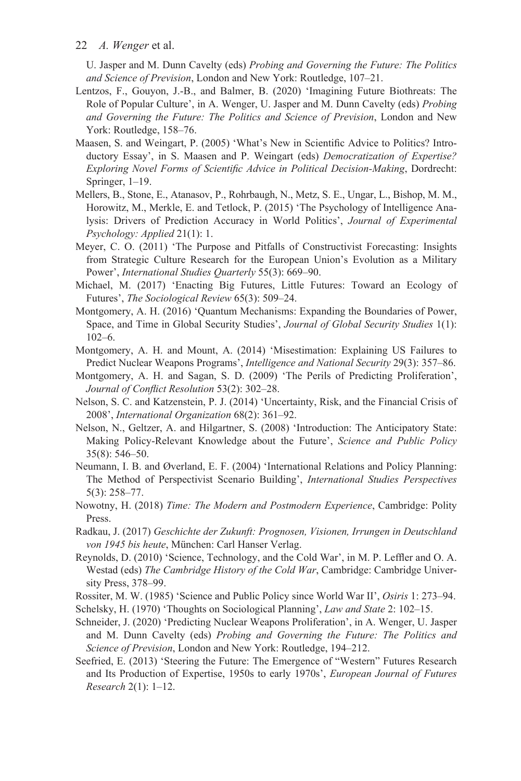U. Jasper and M. Dunn Cavelty (eds) *Probing and Governing the Future: The Politics and Science of Prevision*, London and New York: Routledge, 107–21.

- Lentzos, F., Gouyon, J.-B., and Balmer, B. (2020) 'Imagining Future Biothreats: The Role of Popular Culture', in A. Wenger, U. Jasper and M. Dunn Cavelty (eds) *Probing and Governing the Future: The Politics and Science of Prevision*, London and New York: Routledge, 158–76.
- Maasen, S. and Weingart, P. (2005) 'What's New in Scientific Advice to Politics? Introductory Essay', in S. Maasen and P. Weingart (eds) *Democratization of Expertise? Exploring Novel Forms of Scientific Advice in Political Decision-Making*, Dordrecht: Springer, 1–19.
- Mellers, B., Stone, E., Atanasov, P., Rohrbaugh, N., Metz, S. E., Ungar, L., Bishop, M. M., Horowitz, M., Merkle, E. and Tetlock, P. (2015) 'The Psychology of Intelligence Analysis: Drivers of Prediction Accuracy in World Politics', *Journal of Experimental Psychology: Applied* 21(1): 1.
- Meyer, C. O. (2011) 'The Purpose and Pitfalls of Constructivist Forecasting: Insights from Strategic Culture Research for the European Union's Evolution as a Military Power', *International Studies Quarterly* 55(3): 669–90.
- Michael, M. (2017) 'Enacting Big Futures, Little Futures: Toward an Ecology of Futures', *The Sociological Review* 65(3): 509–24.
- Montgomery, A. H. (2016) 'Quantum Mechanisms: Expanding the Boundaries of Power, Space, and Time in Global Security Studies', *Journal of Global Security Studies* 1(1): 102–6.
- Montgomery, A. H. and Mount, A. (2014) 'Misestimation: Explaining US Failures to Predict Nuclear Weapons Programs', *Intelligence and National Security* 29(3): 357–86.
- Montgomery, A. H. and Sagan, S. D. (2009) 'The Perils of Predicting Proliferation', *Journal of Conflict Resolution* 53(2): 302–28.
- Nelson, S. C. and Katzenstein, P. J. (2014) 'Uncertainty, Risk, and the Financial Crisis of 2008', *International Organization* 68(2): 361–92.
- Nelson, N., Geltzer, A. and Hilgartner, S. (2008) 'Introduction: The Anticipatory State: Making Policy-Relevant Knowledge about the Future', *Science and Public Policy*  35(8): 546–50.
- Neumann, I. B. and Øverland, E. F. (2004) 'International Relations and Policy Planning: The Method of Perspectivist Scenario Building', *International Studies Perspectives*  5(3): 258–77.
- Nowotny, H. (2018) *Time: The Modern and Postmodern Experience*, Cambridge: Polity Press.
- Radkau, J. (2017) *Geschichte der Zukunft: Prognosen, Visionen, Irrungen in Deutschland von 1945 bis heute*, München: Carl Hanser Verlag.
- Reynolds, D. (2010) 'Science, Technology, and the Cold War', in M. P. Leffler and O. A. Westad (eds) *The Cambridge History of the Cold War*, Cambridge: Cambridge University Press, 378–99.

Rossiter, M. W. (1985) 'Science and Public Policy since World War II', *Osiris* 1: 273–94.

- Schelsky, H. (1970) 'Thoughts on Sociological Planning', *Law and State* 2: 102–15.
- Schneider, J. (2020) 'Predicting Nuclear Weapons Proliferation', in A. Wenger, U. Jasper and M. Dunn Cavelty (eds) *Probing and Governing the Future: The Politics and Science of Prevision*, London and New York: Routledge, 194–212.
- Seefried, E. (2013) 'Steering the Future: The Emergence of "Western" Futures Research and Its Production of Expertise, 1950s to early 1970s', *European Journal of Futures Research* 2(1): 1–12.